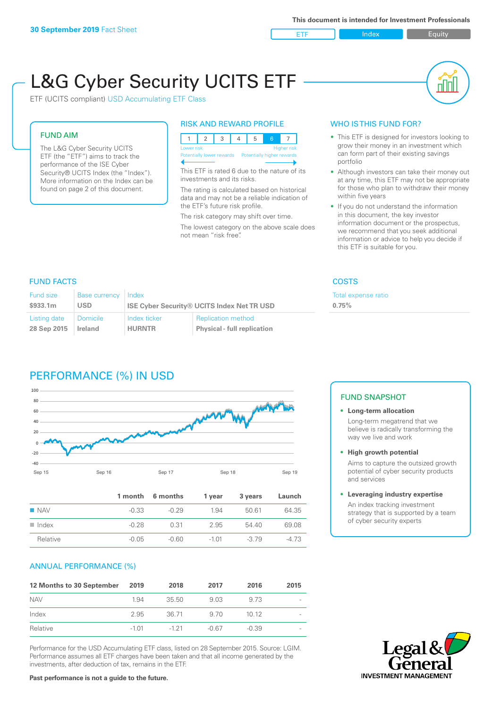ETF Index Buity

nl M

# L&G Cyber Security UCITS ETF

ETF (UCITS compliant) USD Accumulating ETF Class

### FUND AIM

The L&G Cyber Security UCITS ETF (the "ETF") aims to track the performance of the ISE Cyber Security® UCITS Index (the "Index"). More information on the Index can be found on page 2 of this document.

## RISK AND REWARD PROFILE

| Lower risk<br>Higher risk |  |  |  |                                                      |  |  |  |  |
|---------------------------|--|--|--|------------------------------------------------------|--|--|--|--|
|                           |  |  |  | Potentially lower rewards Potentially higher rewards |  |  |  |  |
|                           |  |  |  |                                                      |  |  |  |  |

This ETF is rated 6 due to the nature of its investments and its risks.

The rating is calculated based on historical data and may not be a reliable indication of the ETF's future risk profile.

The risk category may shift over time. The lowest category on the above scale does not mean "risk free".

# WHO IS THIS FUND FOR?

- This ETF is designed for investors looking to grow their money in an investment which can form part of their existing savings portfolio
- Although investors can take their money out at any time, this ETF may not be appropriate for those who plan to withdraw their money within five years
- If you do not understand the information in this document, the key investor information document or the prospectus, we recommend that you seek additional information or advice to help you decide if this ETF is suitable for you.

#### FUND FACTS COSTS

**0.75%**

Total expense ratio

#### Fund size

| Fund size    | Base currency Index |                                                   |                                    |  |
|--------------|---------------------|---------------------------------------------------|------------------------------------|--|
| \$933.1m     | <b>USD</b>          | <b>ISE Cyber Security® UCITS Index Net TR USD</b> |                                    |  |
| Listing date | Domicile            | Index ticker                                      | <b>Replication method</b>          |  |
| 28 Sep 2015  | Ireland             | <b>HURNTR</b>                                     | <b>Physical - full replication</b> |  |

# PERFORMANCE (%) IN USD



|                      |         | 1 month 6 months | 1 year  | 3 years | Launch |
|----------------------|---------|------------------|---------|---------|--------|
| $\blacksquare$ NAV   | $-0.33$ | $-0.29$          | 1.94    | 50.61   | 64.35  |
| $\blacksquare$ Index | $-0.28$ | 0.31             | 2.95    | 54.40   | 69.08  |
| Relative             | $-0.05$ | -0.60            | $-1.01$ | $-379$  | -4.73  |

#### ANNUAL PERFORMANCE (%)

| 12 Months to 30 September | 2019    | 2018     | 2017  | 2016    | 2015 |
|---------------------------|---------|----------|-------|---------|------|
| <b>NAV</b>                | 1.94    | 35.50    | 9.03  | 9.73    |      |
| Index                     | 2.95    | 36.71    | 9.70  | 1012    |      |
| Relative                  | $-1.01$ | $-1, 21$ | -0.67 | $-0.39$ |      |

Performance for the USD Accumulating ETF class, listed on 28 September 2015. Source: LGIM. Performance assumes all ETF charges have been taken and that all income generated by the investments, after deduction of tax, remains in the ETF.

# FUND SNAPSHOT

**• Long-term allocation** Long-term megatrend that we believe is radically transforming the way we live and work

**• High growth potential**

Aims to capture the outsized growth potential of cyber security products and services

#### **• Leveraging industry expertise**

An index tracking investment strategy that is supported by a team of cyber security experts



**Past performance is not a guide to the future.**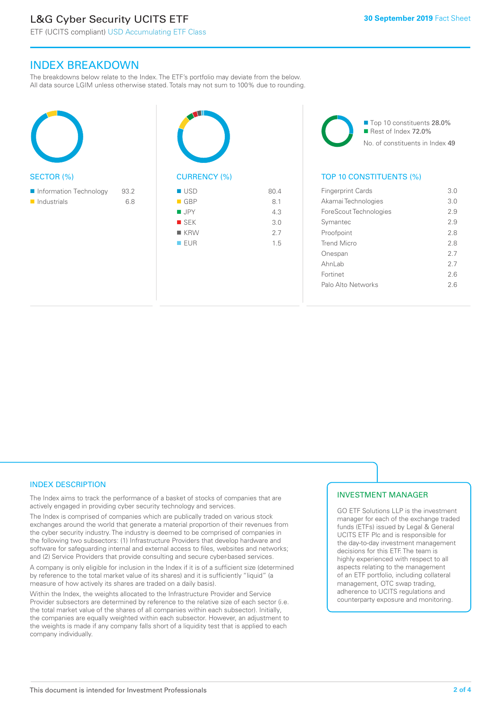# L&G Cyber Security UCITS ETF

ETF (UCITS compliant) USD Accumulating ETF Class

# INDEX BREAKDOWN

The breakdowns below relate to the Index. The ETF's portfolio may deviate from the below. All data source LGIM unless otherwise stated. Totals may not sum to 100% due to rounding.

| <b>SECTOR (%)</b>                                    |             |  |
|------------------------------------------------------|-------------|--|
| Information Technology<br>$\blacksquare$ Industrials | 93.2<br>6.8 |  |
|                                                      |             |  |



■ Top 10 constituents 28.0% Rest of Index 72.0% No. of constituents in Index 49

# TOP 10 CONSTITUENTS (%)

| <b>Fingerprint Cards</b> | 3.0 |
|--------------------------|-----|
| Akamai Technologies      | 3.0 |
| ForeScout Technologies   | 29  |
| Symantec                 | 29  |
| Proofpoint               | 2.8 |
| Trend Micro              | 28  |
| Onespan                  | 27  |
| AhnLab                   | 27  |
| Fortinet                 | 26  |
| Palo Alto Networks       | 26  |
|                          |     |

## INDEX DESCRIPTION

The Index aims to track the performance of a basket of stocks of companies that are actively engaged in providing cyber security technology and services.

The Index is comprised of companies which are publically traded on various stock exchanges around the world that generate a material proportion of their revenues from the cyber security industry. The industry is deemed to be comprised of companies in the following two subsectors: (1) Infrastructure Providers that develop hardware and software for safeguarding internal and external access to files, websites and networks; and (2) Service Providers that provide consulting and secure cyber-based services.

A company is only eligible for inclusion in the Index if it is of a sufficient size (determined by reference to the total market value of its shares) and it is sufficiently "liquid" (a measure of how actively its shares are traded on a daily basis).

Within the Index, the weights allocated to the Infrastructure Provider and Service Provider subsectors are determined by reference to the relative size of each sector (i.e. the total market value of the shares of all companies within each subsector). Initially, the companies are equally weighted within each subsector. However, an adjustment to the weights is made if any company falls short of a liquidity test that is applied to each company individually.

#### INVESTMENT MANAGER

GO ETF Solutions LLP is the investment manager for each of the exchange traded funds (ETFs) issued by Legal & General UCITS ETF Plc and is responsible for the day-to-day investment management decisions for this ETF. The team is highly experienced with respect to all aspects relating to the management of an ETF portfolio, including collateral management, OTC swap trading, adherence to UCITS regulations and counterparty exposure and monitoring.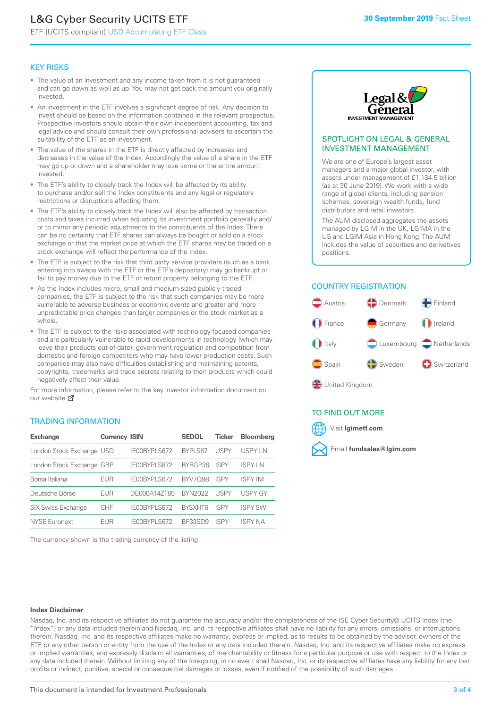# L&G Cyber Security UCITS ETF

ETF (UCITS compliant) USD Accumulating ETF Class

#### KEY RISKS

- The value of an investment and any income taken from it is not guaranteed and can go down as well as up. You may not get back the amount you originally invested.
- An investment in the ETF involves a significant degree of risk. Any decision to invest should be based on the information contained in the relevant prospectus. Prospective investors should obtain their own independent accounting, tax and legal advice and should consult their own professional advisers to ascertain the suitability of the ETF as an investment.
- The value of the shares in the ETF is directly affected by increases and decreases in the value of the Index. Accordingly the value of a share in the ETF may go up or down and a shareholder may lose some or the entire amount invested.
- The ETF's ability to closely track the Index will be affected by its ability to purchase and/or sell the Index constituents and any legal or regulatory restrictions or disruptions affecting them.
- The ETF's ability to closely track the Index will also be affected by transaction costs and taxes incurred when adjusting its investment portfolio generally and/ or to mirror any periodic adjustments to the constituents of the Index. There can be no certainty that ETF shares can always be bought or sold on a stock exchange or that the market price at which the ETF shares may be traded on a stock exchange will reflect the performance of the Index.
- The ETF is subject to the risk that third party service providers (such as a bank entering into swaps with the ETF or the ETF's depositary) may go bankrupt or fail to pay money due to the ETF or return property belonging to the ETF.
- As the Index includes micro, small and medium-sized publicly traded companies, the ETF is subject to the risk that such companies may be more vulnerable to adverse business or economic events and greater and more unpredictable price changes than larger companies or the stock market as a whole.
- The ETF is subject to the risks associated with technology-focused companies and are particularly vulnerable to rapid developments in technology (which may leave their products out-of-date), government regulation and competition from domestic and foreign competitors who may have lower production costs. Such companies may also have difficulties establishing and maintaining patents, copyrights, trademarks and trade secrets relating to their products which could negatively affect their value.

For more information, please refer to the key investor information document on our website Ø

#### TRADING INFORMATION

| <b>Exchange</b>           | <b>Currency ISIN</b> |              | <b>SEDOL</b>   | <b>Ticker</b> | <b>Bloomberg</b> |
|---------------------------|----------------------|--------------|----------------|---------------|------------------|
| London Stock Exchange USD |                      | IE00BYPLS672 | <b>BYPLS67</b> | USPY          | <b>USPYLN</b>    |
| London Stock Exchange GBP |                      | IE00BYPLS672 | BYRGP36        | ISPY          | <b>ISPY IN</b>   |
| Borsa Italiana            | EUR                  | IE00BYPLS672 | <b>BYV7098</b> | <b>ISPY</b>   | <b>ISPY IM</b>   |
| Deutsche Börse            | EUR                  | DE000A14ZT85 | <b>BYN2022</b> | USPY          | <b>USPY GY</b>   |
| <b>SIX Swiss Exchange</b> | <b>CHF</b>           | IE00BYPLS672 | <b>RYSXHT6</b> | <b>ISPY</b>   | <b>ISPY SW</b>   |
| <b>NYSE Euronext</b>      | <b>FUR</b>           | IE00BYPLS672 | <b>BE33SD9</b> | ISPY          | <b>ISPY NA</b>   |

The currency shown is the trading currency of the listing.



#### SPOTLIGHT ON LEGAL & GENERAL INVESTMENT MANAGEMENT

We are one of Europe's largest asset managers and a major global investor, with assets under management of £1,134.5 billion (as at 30 June 2019). We work with a wide range of global clients, including pension schemes, sovereign wealth funds, fund distributors and retail investors.

The AUM disclosed aggregates the assets managed by LGIM in the UK, LGIMA in the US and LGIM Asia in Hong Kong. The AUM includes the value of securities and derivatives positions.

#### COUNTRY REGISTRATION



#### TO FIND OUT MORE



#### **Index Disclaimer**

Nasdaq, Inc. and its respective affiliates do not guarantee the accuracy and/or the completeness of the ISE Cyber Security® UCITS Index (the "Index") or any data included therein and Nasdaq, Inc. and its respective affiliates shall have no liability for any errors, omissions, or interruptions therein. Nasdaq, Inc. and its respective affiliates make no warranty, express or implied, as to results to be obtained by the adviser, owners of the ETF, or any other person or entity from the use of the Index or any data included therein. Nasdaq, Inc. and its respective affiliates make no express or implied warranties, and expressly disclaim all warranties, of merchantability or fitness for a particular purpose or use with respect to the Index or any data included therein. Without limiting any of the foregoing, in no event shall Nasdaq, Inc. or its respective affiliates have any liability for any lost profits or indirect, punitive, special or consequential damages or losses, even if notified of the possibility of such damages.